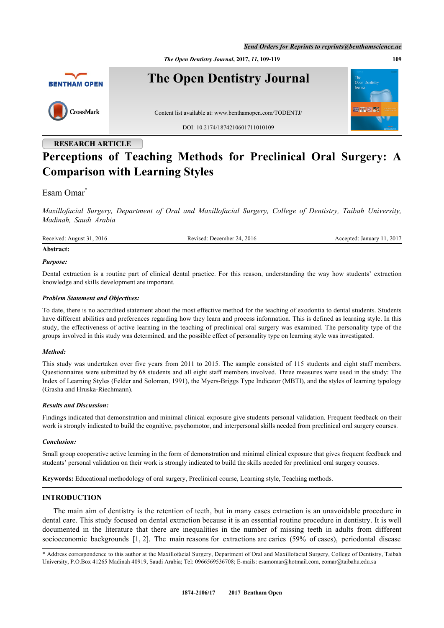*Send Orders for Reprints to reprints@benthamscience.ae*

*The Open Dentistry Journal***, 2017,** *11***, 109-119 109**



# **RESEARCH ARTICLE Perceptions of Teaching Methods for Preclinical Oral Surgery: A Comparison with Learning Styles**

# Esam Omar<sup>[\\*](#page-0-0)</sup>

*Maxillofacial Surgery, Department of Oral and Maxillofacial Surgery, College of Dentistry, Taibah University, Madinah, Saudi Arabia*

Received: August 31, 2016 Revised: December 24, 2016 Accepted: January 11, 2017

# **Abstract:**

#### *Purpose:*

Dental extraction is a routine part of clinical dental practice. For this reason, understanding the way how students' extraction knowledge and skills development are important.

#### *Problem Statement and Objectives:*

To date, there is no accredited statement about the most effective method for the teaching of exodontia to dental students. Students have different abilities and preferences regarding how they learn and process information. This is defined as learning style. In this study, the effectiveness of active learning in the teaching of preclinical oral surgery was examined. The personality type of the groups involved in this study was determined, and the possible effect of personality type on learning style was investigated.

# *Method:*

This study was undertaken over five years from 2011 to 2015. The sample consisted of 115 students and eight staff members. Questionnaires were submitted by 68 students and all eight staff members involved. Three measures were used in the study: The Index of Learning Styles (Felder and Soloman, 1991), the Myers-Briggs Type Indicator (MBTI), and the styles of learning typology (Grasha and Hruska-Riechmann).

# *Results and Discussion:*

Findings indicated that demonstration and minimal clinical exposure give students personal validation. Frequent feedback on their work is strongly indicated to build the cognitive, psychomotor, and interpersonal skills needed from preclinical oral surgery courses.

# *Conclusion:*

Small group cooperative active learning in the form of demonstration and minimal clinical exposure that gives frequent feedback and students' personal validation on their work is strongly indicated to build the skills needed for preclinical oral surgery courses.

**Keywords:** Educational methodology of oral surgery, Preclinical course, Learning style, Teaching methods.

# **INTRODUCTION**

The main aim of dentistry is the retention of teeth, but in many cases extraction is an unavoidable procedure in dental care. This study focused on dental extraction because it is an essential routine procedure in dentistry. It is well documented in the literature that there are inequalities in the number of missing teeth in adults from different socioeconomic backgrounds [\[1](#page-9-0), [2](#page-9-1)]. The main reasons for extractions are caries (59% of cases), periodontal disease

<span id="page-0-0"></span><sup>\*</sup> Address correspondence to this author at the Maxillofacial Surgery, Department of Oral and Maxillofacial Surgery, College of Dentistry, Taibah University, P.O.Box 41265 Madinah 40919, Saudi Arabia; Tel: 0966569536708; E-mails: [esamomar@hotmail.com](mailto:esamomar@hotmail.com), [eomar@taibahu.edu.sa](mailto:eomar@taibahu.edu.sa)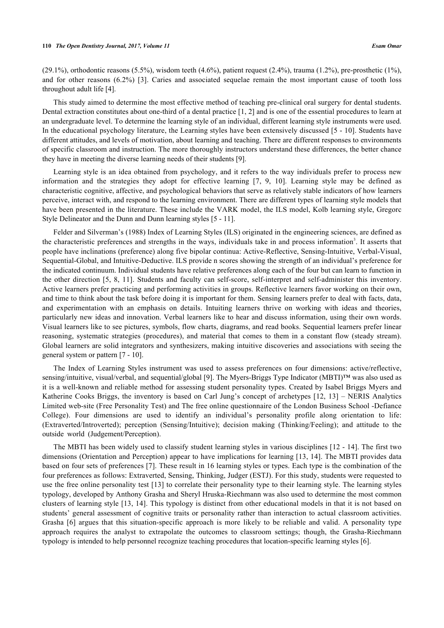$(29.1\%)$ , orthodontic reasons  $(5.5\%)$ , wisdom teeth  $(4.6\%)$ , patient request  $(2.4\%)$ , trauma  $(1.2\%)$ , pre-prosthetic  $(1\%)$ , and for other reasons (6.2%) [\[3](#page-9-2)]. Caries and associated sequelae remain the most important cause of tooth loss throughout adult life [[4\]](#page-9-3).

This study aimed to determine the most effective method of teaching pre-clinical oral surgery for dental students. Dental extraction constitutes about one-third of a dental practice [[1,](#page-9-0) [2](#page-9-1)] and is one of the essential procedures to learn at an undergraduate level. To determine the learning style of an individual, different learning style instruments were used. In the educational psychology literature, the Learning styles have been extensively discussed [[5](#page-10-0) - [10](#page-10-1)]. Students have different attitudes, and levels of motivation, about learning and teaching. There are different responses to environments of specific classroom and instruction. The more thoroughly instructors understand these differences, the better chance they have in meeting the diverse learning needs of their students [[9\]](#page-10-2).

Learning style is an idea obtained from psychology, and it refers to the way individuals prefer to process new information and the strategies they adopt for effective learning[[7,](#page-10-3) [9,](#page-10-2) [10\]](#page-10-1). Learning style may be defined as characteristic cognitive, affective, and psychological behaviors that serve as relatively stable indicators of how learners perceive, interact with, and respond to the learning environment. There are different types of learning style models that have been presented in the literature. These include the VARK model, the ILS model, Kolb learning style, Gregorc Style Delineator and the Dunn and Dunn learning styles [\[5](#page-10-0) - [11\]](#page-10-4).

Felder and Silverman's (1988) Index of Learning Styles (ILS) originated in the engineering sciences, are defined as the characteristic preferences and strengths in the ways, individuals take in and process information<sup>3</sup>. It asserts that people have inclinations (preference) along five bipolar continua: Active-Reflective, Sensing-Intuitive, Verbal-Visual, Sequential-Global, and Intuitive-Deductive. ILS provide n scores showing the strength of an individual's preference for the indicated continuum. Individual students have relative preferences along each of the four but can learn to function in the other direction [\[5](#page-10-0), [8,](#page-10-5) [11](#page-10-4)]. Students and faculty can self-score, self-interpret and self-administer this inventory. Active learners prefer practicing and performing activities in groups. Reflective learners favor working on their own, and time to think about the task before doing it is important for them. Sensing learners prefer to deal with facts, data, and experimentation with an emphasis on details. Intuiting learners thrive on working with ideas and theories, particularly new ideas and innovation. Verbal learners like to hear and discuss information, using their own words. Visual learners like to see pictures, symbols, flow charts, diagrams, and read books. Sequential learners prefer linear reasoning, systematic strategies (procedures), and material that comes to them in a constant flow (steady stream). Global learners are solid integrators and synthesizers, making intuitive discoveries and associations with seeing the general system or pattern [\[7](#page-10-3) - [10\]](#page-10-1).

The Index of Learning Styles instrument was used to assess preferences on four dimensions: active/reflective, sensing/intuitive, visual/verbal, and sequential/global [[9\]](#page-10-2). The Myers-Briggs Type Indicator (MBTI)™ was also used as it is a well-known and reliable method for assessing student personality types. Created by Isabel Briggs Myers and Katherine Cooks Briggs, the inventory is based on Carl Jung's concept of archetypes [[12](#page-10-6), [13\]](#page-10-7) – NERIS Analytics Limited web-site (Free Personality Test) and The free online questionnaire of the London Business School -Defiance College). Four dimensions are used to identify an individual's personality profile along orientation to life: (Extraverted/Introverted); perception (Sensing/Intuitive); decision making (Thinking/Feeling); and attitude to the outside world (Judgement/Perception).

The MBTI has been widely used to classify student learning styles in various disciplines [[12](#page-10-6) - [14\]](#page-10-8). The first two dimensions (Orientation and Perception) appear to have implications for learning [[13,](#page-10-7) [14\]](#page-10-8). The MBTI provides data based on four sets of preferences [\[7](#page-10-3)]. These result in 16 learning styles or types. Each type is the combination of the four preferences as follows: Extraverted, Sensing, Thinking, Judger (ESTJ). For this study, students were requested to use the free online personality test [\[13\]](#page-10-7) to correlate their personality type to their learning style. The learning styles typology, developed by Anthony Grasha and Sheryl Hruska-Riechmann was also used to determine the most common clusters of learning style [[13](#page-10-7), [14](#page-10-8)]. This typology is distinct from other educational models in that it is not based on students' general assessment of cognitive traits or personality rather than interaction to actual classroom activities. Grasha[[6](#page-10-9)] argues that this situation-specific approach is more likely to be reliable and valid. A personality type approach requires the analyst to extrapolate the outcomes to classroom settings; though, the Grasha-Riechmann typology is intended to help personnel recognize teaching procedures that location-specific learning styles [[6\]](#page-10-9).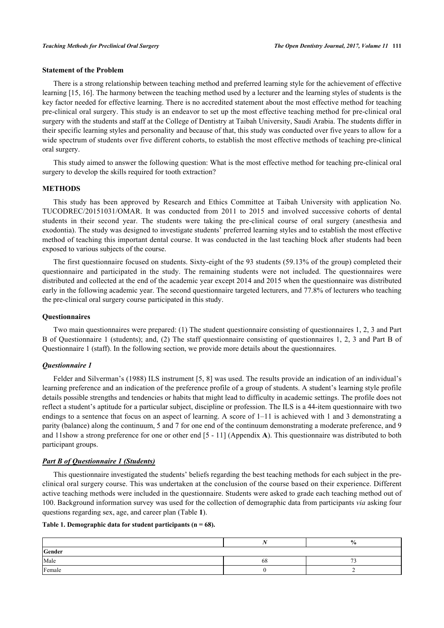# **Statement of the Problem**

There is a strong relationship between teaching method and preferred learning style for the achievement of effective learning [\[15](#page-10-10), [16](#page-10-11)]. The harmony between the teaching method used by a lecturer and the learning styles of students is the key factor needed for effective learning. There is no accredited statement about the most effective method for teaching pre-clinical oral surgery. This study is an endeavor to set up the most effective teaching method for pre-clinical oral surgery with the students and staff at the College of Dentistry at Taibah University, Saudi Arabia. The students differ in their specific learning styles and personality and because of that, this study was conducted over five years to allow for a wide spectrum of students over five different cohorts, to establish the most effective methods of teaching pre-clinical oral surgery.

This study aimed to answer the following question: What is the most effective method for teaching pre-clinical oral surgery to develop the skills required for tooth extraction?

#### **METHODS**

This study has been approved by Research and Ethics Committee at Taibah University with application No. TUCODREC/20151031/OMAR. It was conducted from 2011 to 2015 and involved successive cohorts of dental students in their second year. The students were taking the pre-clinical course of oral surgery (anesthesia and exodontia). The study was designed to investigate students' preferred learning styles and to establish the most effective method of teaching this important dental course. It was conducted in the last teaching block after students had been exposed to various subjects of the course.

The first questionnaire focused on students. Sixty-eight of the 93 students (59.13% of the group) completed their questionnaire and participated in the study. The remaining students were not included. The questionnaires were distributed and collected at the end of the academic year except 2014 and 2015 when the questionnaire was distributed early in the following academic year. The second questionnaire targeted lecturers, and 77.8% of lecturers who teaching the pre-clinical oral surgery course participated in this study.

#### **Questionnaires**

Two main questionnaires were prepared: (1) The student questionnaire consisting of questionnaires 1, 2, 3 and Part B of Questionnaire 1 (students); and, (2) The staff questionnaire consisting of questionnaires 1, 2, 3 and Part B of Questionnaire 1 (staff). In the following section, we provide more details about the questionnaires.

#### *Questionnaire 1*

Felder and Silverman's (1988) ILS instrument [\[5](#page-10-0), [8\]](#page-10-5) was used. The results provide an indication of an individual's learning preference and an indication of the preference profile of a group of students. A student's learning style profile details possible strengths and tendencies or habits that might lead to difficulty in academic settings. The profile does not reflect a student's aptitude for a particular subject, discipline or profession. The ILS is a 44-item questionnaire with two endings to a sentence that focus on an aspect of learning. A score of 1–11 is achieved with 1 and 3 demonstrating a parity (balance) along the continuum, 5 and 7 for one end of the continuum demonstrating a moderate preference, and 9 and 11show a strong preference for one or other end [[5](#page-10-0) - [11\]](#page-10-4) (Appendix **[A](#TA.1)**). This questionnaire was distributed to both participant groups.

# *Part B of Questionnaire 1 (Students)*

This questionnaire investigated the students' beliefs regarding the best teaching methods for each subject in the preclinical oral surgery course. This was undertaken at the conclusion of the course based on their experience. Different active teaching methods were included in the questionnaire. Students were asked to grade each teaching method out of 100. Background information survey was used for the collection of demographic data from participants *via* asking four questions regarding sex, age, and career plan (Table **[1](#page-2-0)**).

# <span id="page-2-0"></span>**Table 1. Demographic data for student participants (n = 68).**

|        | - - | $\frac{0}{0}$ |
|--------|-----|---------------|
| Gender |     |               |
| Male   | 68  | $\sim$        |
| Female |     |               |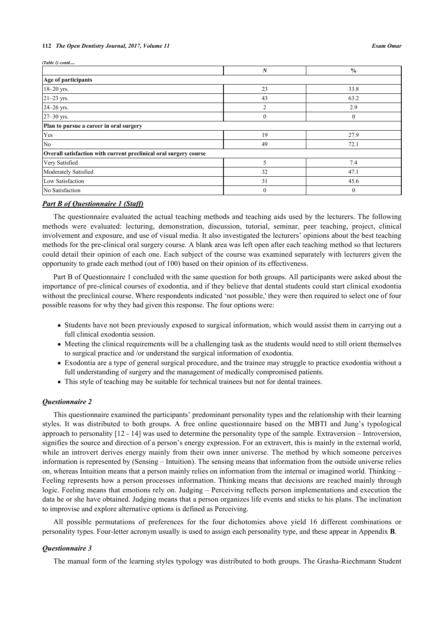#### **112** *The Open Dentistry Journal, 2017, Volume 11 Esam Omar*

*(Table 1) contd.....*

|                                                                   | N              | $\frac{0}{0}$  |
|-------------------------------------------------------------------|----------------|----------------|
| Age of participants                                               |                |                |
| 18-20 yrs.                                                        | 23             | 33.8           |
| $21 - 23$ yrs.                                                    | 43             | 63.2           |
| 24-26 yrs.                                                        | $\overline{2}$ | 2.9            |
| 27-30 yrs.                                                        | $\theta$       | $\theta$       |
| Plan to pursue a career in oral surgery                           |                |                |
| Yes                                                               | 19             | 27.9           |
| No                                                                | 49             | 72.1           |
| Overall satisfaction with current preclinical oral surgery course |                |                |
| Very Satisfied                                                    | 5              | 7.4            |
| Moderately Satisfied                                              | 32             | 47.1           |
| Low Satisfaction                                                  | 31             | 45.6           |
| No Satisfaction                                                   | $\mathbf{0}$   | $\overline{0}$ |

# *Part B of Questionnaire 1 (Staff)*

The questionnaire evaluated the actual teaching methods and teaching aids used by the lecturers. The following methods were evaluated: lecturing, demonstration, discussion, tutorial, seminar, peer teaching, project, clinical involvement and exposure, and use of visual media. It also investigated the lecturers' opinions about the best teaching methods for the pre-clinical oral surgery course. A blank area was left open after each teaching method so that lecturers could detail their opinion of each one. Each subject of the course was examined separately with lecturers given the opportunity to grade each method (out of 100) based on their opinion of its effectiveness.

Part B of Questionnaire 1 concluded with the same question for both groups. All participants were asked about the importance of pre-clinical courses of exodontia, and if they believe that dental students could start clinical exodontia without the preclinical course. Where respondents indicated 'not possible,' they were then required to select one of four possible reasons for why they had given this response. The four options were:

- Students have not been previously exposed to surgical information, which would assist them in carrying out a full clinical exodontia session.
- Meeting the clinical requirements will be a challenging task as the students would need to still orient themselves to surgical practice and /or understand the surgical information of exodontia.
- Exodontia are a type of general surgical procedure, and the trainee may struggle to practice exodontia without a full understanding of surgery and the management of medically compromised patients.
- This style of teaching may be suitable for technical trainees but not for dental trainees.

#### *Questionnaire 2*

This questionnaire examined the participants' predominant personality types and the relationship with their learning styles. It was distributed to both groups. A free online questionnaire based on the MBTI and Jung's typological approach to personality [\[12](#page-10-6) - [14\]](#page-10-8) was used to determine the personality type of the sample. Extraversion – Introversion, signifies the source and direction of a person's energy expression. For an extravert, this is mainly in the external world, while an introvert derives energy mainly from their own inner universe. The method by which someone perceives information is represented by (Sensing – Intuition). The sensing means that information from the outside universe relies on, whereas Intuition means that a person mainly relies on information from the internal or imagined world. Thinking – Feeling represents how a person processes information. Thinking means that decisions are reached mainly through logic. Feeling means that emotions rely on. Judging – Perceiving reflects person implementations and execution the data he or she have obtained. Judging means that a person organizes life events and sticks to his plans. The inclination to improvise and explore alternative options is defined as Perceiving.

All possible permutations of preferences for the four dichotomies above yield 16 different combinations or personality types. Four-letter acronym usually is used to assign each personality type, and these appear in Appendix **[B](#TB.1)**.

#### *Questionnaire 3*

The manual form of the learning styles typology was distributed to both groups. The Grasha-Riechmann Student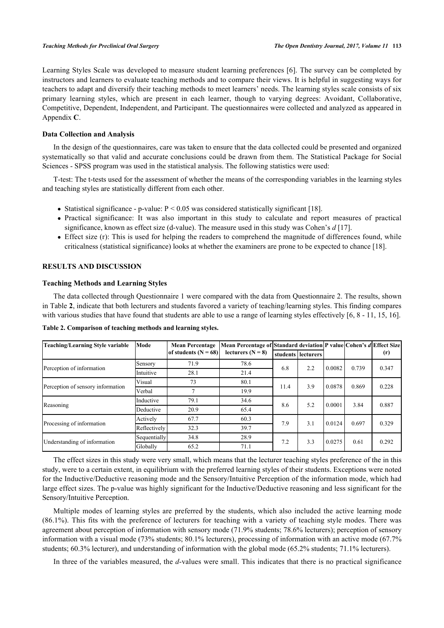Learning Styles Scale was developed to measure student learning preferences [[6\]](#page-10-9). The survey can be completed by instructors and learners to evaluate teaching methods and to compare their views. It is helpful in suggesting ways for teachers to adapt and diversify their teaching methods to meet learners' needs. The learning styles scale consists of six primary learning styles, which are present in each learner, though to varying degrees: Avoidant, Collaborative, Competitive, Dependent, Independent, and Participant. The questionnaires were collected and analyzed as appeared in Appendix **[C](#TC.1)**.

# **Data Collection and Analysis**

In the design of the questionnaires, care was taken to ensure that the data collected could be presented and organized systematically so that valid and accurate conclusions could be drawn from them. The Statistical Package for Social Sciences - SPSS program was used in the statistical analysis. The following statistics were used:

T-test: The t-tests used for the assessment of whether the means of the corresponding variables in the learning styles and teaching styles are statistically different from each other.

- Statistical significance p-value:  $P < 0.05$  was considered statistically significant [[18\]](#page-10-12).
- Practical significance: It was also important in this study to calculate and report measures of practical significance, known as effect size (d-value). The measure used in this study was Cohen's *d* [\[17](#page-10-13)].
- Effect size (r): This is used for helping the readers to comprehend the magnitude of differences found, while criticalness (statistical significance) looks at whether the examiners are prone to be expected to chance [[18\]](#page-10-12).

# **RESULTS AND DISCUSSION**

#### **Teaching Methods and Learning Styles**

The data collected through Questionnaire 1 were compared with the data from Questionnaire 2. The results, shown in Table **[2](#page-4-0)**, indicate that both lecturers and students favored a variety of teaching/learning styles. This finding compares with various studies that have found that students are able to use a range of learning styles effectively [\[6](#page-10-9), [8](#page-10-5) - [11,](#page-10-4) [15,](#page-10-10) [16\]](#page-10-11).

| Teaching/Learning Style variable  | Mode         | <b>Mean Percentage</b> |                     | Mean Percentage of Standard deviation P value Cohen's d Effect Size |                      |        |       |       |
|-----------------------------------|--------------|------------------------|---------------------|---------------------------------------------------------------------|----------------------|--------|-------|-------|
|                                   |              | of students $(N = 68)$ | lecturers $(N = 8)$ |                                                                     | students   lecturers |        |       | (r)   |
| Perception of information         | Sensory      | 71.9                   | 78.6                | 6.8                                                                 | 2.2                  | 0.0082 | 0.739 | 0.347 |
|                                   | Intuitive    | 28.1                   | 21.4                |                                                                     |                      |        |       |       |
| Perception of sensory information | Visual       | 73                     | 80.1                | 11.4                                                                | 3.9                  | 0.0878 | 0.869 | 0.228 |
|                                   | Verbal       |                        | 19.9                |                                                                     |                      |        |       |       |
| Reasoning                         | Inductive    | 79.1                   | 34.6                | 8.6                                                                 | 5.2                  | 0.0001 | 3.84  | 0.887 |
|                                   | Deductive    | 20.9                   | 65.4                |                                                                     |                      |        |       |       |
| Processing of information         | Actively     | 67.7                   | 60.3                | 7.9                                                                 | 3.1                  | 0.0124 | 0.697 | 0.329 |
|                                   | Reflectively | 32.3                   | 39.7                |                                                                     |                      |        |       |       |
| Understanding of information      | Sequentially | 34.8                   | 28.9                | 7.2                                                                 | 3.3                  | 0.0275 | 0.61  | 0.292 |
|                                   | Globally     | 65.2                   | 71.1                |                                                                     |                      |        |       |       |

<span id="page-4-0"></span>**Table 2. Comparison of teaching methods and learning styles.**

The effect sizes in this study were very small, which means that the lecturer teaching styles preference of the in this study, were to a certain extent, in equilibrium with the preferred learning styles of their students. Exceptions were noted for the Inductive/Deductive reasoning mode and the Sensory/Intuitive Perception of the information mode, which had large effect sizes. The p-value was highly significant for the Inductive/Deductive reasoning and less significant for the Sensory/Intuitive Perception.

Multiple modes of learning styles are preferred by the students, which also included the active learning mode (86.1%). This fits with the preference of lecturers for teaching with a variety of teaching style modes. There was agreement about perception of information with sensory mode (71.9% students; 78.6% lecturers); perception of sensory information with a visual mode (73% students; 80.1% lecturers), processing of information with an active mode (67.7% students; 60.3% lecturer), and understanding of information with the global mode (65.2% students; 71.1% lecturers).

In three of the variables measured, the *d*-values were small. This indicates that there is no practical significance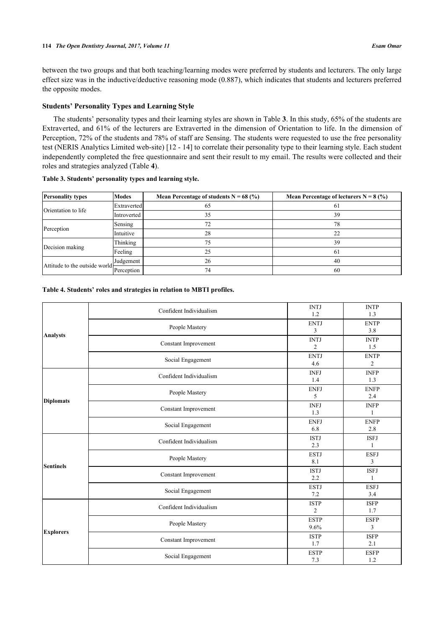between the two groups and that both teaching/learning modes were preferred by students and lecturers. The only large effect size was in the inductive/deductive reasoning mode (0.887), which indicates that students and lecturers preferred the opposite modes.

# **Students' Personality Types and Learning Style**

The students' personality types and their learning styles are shown in Table **[3](#page-5-0)**. In this study, 65% of the students are Extraverted, and 61% of the lecturers are Extraverted in the dimension of Orientation to life. In the dimension of Perception, 72% of the students and 78% of staff are Sensing. The students were requested to use the free personality test (NERIS Analytics Limited web-site) [\[12](#page-10-6) - [14\]](#page-10-8) to correlate their personality type to their learning style. Each student independently completed the free questionnaire and sent their result to my email. The results were collected and their roles and strategies analyzed (Table **[4](#page-5-1)**).

| <b>Personality types</b>       | <b>Modes</b> | Mean Percentage of students $N = 68$ (%) | <b>Mean Percentage of lecturers N = 8 (%)</b> |
|--------------------------------|--------------|------------------------------------------|-----------------------------------------------|
|                                | Extraverted  | 65                                       | 61                                            |
| Orientation to life            | Introverted  | 35                                       | 39                                            |
|                                | Sensing      | 72                                       | 78                                            |
| Perception                     | Intuitive    | 28                                       | 22                                            |
|                                | Thinking     | 75                                       | 39                                            |
| Decision making                | Feeling      | 25                                       | 61                                            |
| Attitude to the outside world- | Judgement    | 26                                       | 40                                            |
|                                | Perception   | 74                                       | 60                                            |

#### <span id="page-5-0"></span>**Table 3. Students' personality types and learning style.**

# <span id="page-5-1"></span>**Table 4. Students' roles and strategies in relation to MBTI profiles.**

| <b>Analysts</b>  | Confident Individualism | <b>INTJ</b><br>1.2            | <b>INTP</b><br>1.3            |
|------------------|-------------------------|-------------------------------|-------------------------------|
|                  | People Mastery          | <b>ENTJ</b><br>3              | <b>ENTP</b><br>3.8            |
|                  | Constant Improvement    | <b>INTJ</b><br>$\overline{2}$ | <b>INTP</b><br>1.5            |
|                  | Social Engagement       | <b>ENTJ</b><br>4.6            | <b>ENTP</b><br>$\mathfrak{2}$ |
|                  | Confident Individualism | <b>INFJ</b><br>1.4            | <b>INFP</b><br>1.3            |
|                  | People Mastery          | <b>ENFJ</b><br>5              | <b>ENFP</b><br>2.4            |
| <b>Diplomats</b> | Constant Improvement    | <b>INFJ</b><br>1.3            | <b>INFP</b><br>$\mathbf{1}$   |
|                  | Social Engagement       | <b>ENFJ</b><br>6.8            | <b>ENFP</b><br>2.8            |
|                  | Confident Individualism | <b>ISTJ</b><br>2.3            | <b>ISFJ</b><br>1              |
| Sentinels        | People Mastery          | <b>ESTJ</b><br>8.1            | <b>ESFJ</b><br>3              |
|                  | Constant Improvement    | <b>ISTJ</b><br>2.2            | <b>ISFJ</b><br>1              |
|                  | Social Engagement       | <b>ESTJ</b><br>7.2            | <b>ESFJ</b><br>3.4            |
| <b>Explorers</b> | Confident Individualism | <b>ISTP</b><br>$\overline{2}$ | <b>ISFP</b><br>1.7            |
|                  | People Mastery          | <b>ESTP</b><br>9.6%           | <b>ESFP</b><br>3              |
|                  | Constant Improvement    | <b>ISTP</b><br>1.7            | <b>ISFP</b><br>2.1            |
|                  | Social Engagement       | <b>ESTP</b><br>7.3            | <b>ESFP</b><br>1.2            |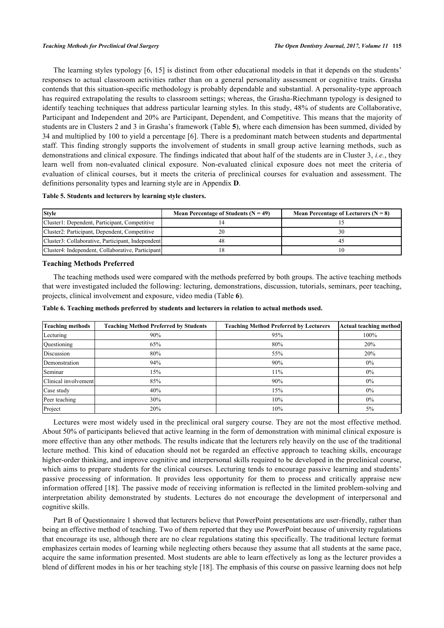The learning styles typology [[6,](#page-10-9) [15\]](#page-10-10) is distinct from other educational models in that it depends on the students' responses to actual classroom activities rather than on a general personality assessment or cognitive traits. Grasha contends that this situation-specific methodology is probably dependable and substantial. A personality-type approach has required extrapolating the results to classroom settings; whereas, the Grasha-Riechmann typology is designed to identify teaching techniques that address particular learning styles. In this study, 48% of students are Collaborative, Participant and Independent and 20% are Participant, Dependent, and Competitive. This means that the majority of students are in Clusters 2 and 3 in Grasha's framework (Table **[5](#page-6-0)**), where each dimension has been summed, divided by 34 and multiplied by 100 to yield a percentage [[6](#page-10-9)]. There is a predominant match between students and departmental staff. This finding strongly supports the involvement of students in small group active learning methods, such as demonstrations and clinical exposure. The findings indicated that about half of the students are in Cluster 3, *i.e.*, they learn well from non-evaluated clinical exposure. Non-evaluated clinical exposure does not meet the criteria of evaluation of clinical courses, but it meets the criteria of preclinical courses for evaluation and assessment. The definitions personality types and learning style are in Appendix **[D](#TD.1)**.

#### <span id="page-6-0"></span>**Table 5. Students and lecturers by learning style clusters.**

| <b>Style</b>                                      | Mean Percentage of Students ( $N = 49$ ) | <b>Mean Percentage of Lecturers (<math>N = 8</math>)</b> |
|---------------------------------------------------|------------------------------------------|----------------------------------------------------------|
| Cluster1: Dependent, Participant, Competitive     |                                          |                                                          |
| Cluster2: Participant, Dependent, Competitive     |                                          | 30                                                       |
| Cluster3: Collaborative, Participant, Independent |                                          | 45                                                       |
| Cluster4: Independent, Collaborative, Participant |                                          |                                                          |

# **Teaching Methods Preferred**

The teaching methods used were compared with the methods preferred by both groups. The active teaching methods that were investigated included the following: lecturing, demonstrations, discussion, tutorials, seminars, peer teaching, projects, clinical involvement and exposure, video media (Table **[6](#page-6-1)**).

<span id="page-6-1"></span>

|  |  |  |  | Table 6. Teaching methods preferred by students and lecturers in relation to actual methods used. |
|--|--|--|--|---------------------------------------------------------------------------------------------------|
|  |  |  |  |                                                                                                   |

| <b>Teaching methods</b> | <b>Teaching Method Preferred by Students</b> | <b>Teaching Method Preferred by Lecturers</b> | <b>Actual teaching method</b> |
|-------------------------|----------------------------------------------|-----------------------------------------------|-------------------------------|
| Lecturing               | 90%                                          | 95%                                           | 100%                          |
| Questioning             | 65%                                          | 80%                                           | 20%                           |
| Discussion              | 80%                                          | 55%                                           | 20%                           |
| Demonstration           | 94%                                          | 90%                                           | $0\%$                         |
| Seminar                 | 15%                                          | 11%                                           | 0%                            |
| Clinical involvement    | 85%                                          | 90%                                           | $0\%$                         |
| Case study              | 40%                                          | 15%                                           | 0%                            |
| Peer teaching           | 30%                                          | 10%                                           | $0\%$                         |
| Project                 | 20%                                          | 10%                                           | 5%                            |

Lectures were most widely used in the preclinical oral surgery course. They are not the most effective method. About 50% of participants believed that active learning in the form of demonstration with minimal clinical exposure is more effective than any other methods. The results indicate that the lecturers rely heavily on the use of the traditional lecture method. This kind of education should not be regarded an effective approach to teaching skills, encourage higher-order thinking, and improve cognitive and interpersonal skills required to be developed in the preclinical course, which aims to prepare students for the clinical courses. Lecturing tends to encourage passive learning and students' passive processing of information. It provides less opportunity for them to process and critically appraise new information offered [\[18](#page-10-12)]. The passive mode of receiving information is reflected in the limited problem-solving and interpretation ability demonstrated by students. Lectures do not encourage the development of interpersonal and cognitive skills.

Part B of Questionnaire 1 showed that lecturers believe that PowerPoint presentations are user-friendly, rather than being an effective method of teaching. Two of them reported that they use PowerPoint because of university regulations that encourage its use, although there are no clear regulations stating this specifically. The traditional lecture format emphasizes certain modes of learning while neglecting others because they assume that all students at the same pace, acquire the same information presented. Most students are able to learn effectively as long as the lecturer provides a blend of different modes in his or her teaching style [\[18](#page-10-12)]. The emphasis of this course on passive learning does not help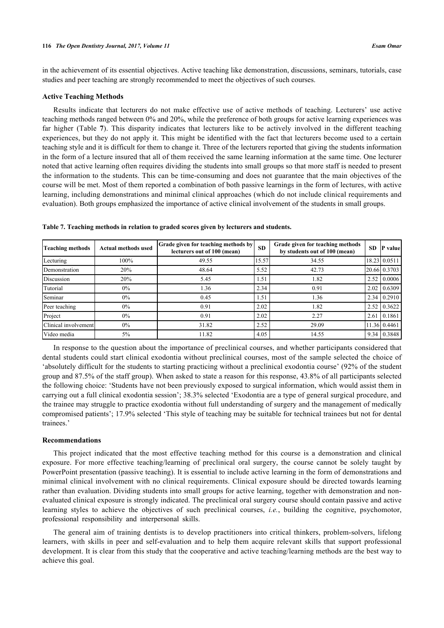in the achievement of its essential objectives. Active teaching like demonstration, discussions, seminars, tutorials, case studies and peer teaching are strongly recommended to meet the objectives of such courses.

# **Active Teaching Methods**

Results indicate that lecturers do not make effective use of active methods of teaching. Lecturers' use active teaching methods ranged between 0% and 20%, while the preference of both groups for active learning experiences was far higher (Table**7**). This disparity indicates that lecturers like to be actively involved in the different teaching experiences, but they do not apply it. This might be identified with the fact that lecturers become used to a certain teaching style and it is difficult for them to change it. Three of the lecturers reported that giving the students information in the form of a lecture insured that all of them received the same learning information at the same time. One lecturer noted that active learning often requires dividing the students into small groups so that more staff is needed to present the information to the students. This can be time-consuming and does not guarantee that the main objectives of the course will be met. Most of them reported a combination of both passive learnings in the form of lectures, with active learning, including demonstrations and minimal clinical approaches (which do not include clinical requirements and evaluation). Both groups emphasized the importance of active clinical involvement of the students in small groups.

| <b>Teaching methods</b> | <b>Actual methods used</b> | <b>Grade given for teaching methods by</b><br>lecturers out of 100 (mean) | <b>SD</b> | Grade given for teaching methods<br>by students out of 100 (mean) | <b>SD</b> | <b>P</b> value          |
|-------------------------|----------------------------|---------------------------------------------------------------------------|-----------|-------------------------------------------------------------------|-----------|-------------------------|
| Lecturing               | 100%                       | 49.55                                                                     | 15.57     | 34.55                                                             |           | 18.23 0.0511            |
| Demonstration           | 20%                        | 48.64                                                                     | 5.52      | 42.73                                                             |           | 20.66 0.3703            |
| Discussion              | 20%                        | 5.45                                                                      | 1.51      | 1.82                                                              | 2.52      | 0.0006                  |
| Tutorial                | $0\%$                      | 1.36                                                                      | 2.34      | 0.91                                                              | 2.02      | 0.6309                  |
| Seminar                 | $0\%$                      | 0.45                                                                      | 1.51      | 1.36                                                              |           | $2.34 \mid 0.2910 \mid$ |
| Peer teaching           | $0\%$                      | 0.91                                                                      | 2.02      | 1.82                                                              | 2.52      | 0.3622                  |
| Project                 | $0\%$                      | 0.91                                                                      | 2.02      | 2.27                                                              | 2.61      | 0.1861                  |
| Clinical involvement    | $0\%$                      | 31.82                                                                     | 2.52      | 29.09                                                             |           | 11.36 0.4461            |
| Video media             | 5%                         | 11.82                                                                     | 4.05      | 14.55                                                             |           | $9.34 \mid 0.3848$      |

<span id="page-7-0"></span>**Table 7. Teaching methods in relation to graded scores given by lecturers and students.**

In response to the question about the importance of preclinical courses, and whether participants considered that dental students could start clinical exodontia without preclinical courses, most of the sample selected the choice of 'absolutely difficult for the students to starting practicing without a preclinical exodontia course' (92% of the student group and 87.5% of the staff group). When asked to state a reason for this response, 43.8% of all participants selected the following choice: 'Students have not been previously exposed to surgical information, which would assist them in carrying out a full clinical exodontia session'; 38.3% selected 'Exodontia are a type of general surgical procedure, and the trainee may struggle to practice exodontia without full understanding of surgery and the management of medically compromised patients'; 17.9% selected 'This style of teaching may be suitable for technical trainees but not for dental trainees.'

#### **Recommendations**

This project indicated that the most effective teaching method for this course is a demonstration and clinical exposure. For more effective teaching/learning of preclinical oral surgery, the course cannot be solely taught by PowerPoint presentation (passive teaching). It is essential to include active learning in the form of demonstrations and minimal clinical involvement with no clinical requirements. Clinical exposure should be directed towards learning rather than evaluation. Dividing students into small groups for active learning, together with demonstration and nonevaluated clinical exposure is strongly indicated. The preclinical oral surgery course should contain passive and active learning styles to achieve the objectives of such preclinical courses, *i.e.*, building the cognitive, psychomotor, professional responsibility and interpersonal skills.

The general aim of training dentists is to develop practitioners into critical thinkers, problem-solvers, lifelong learners, with skills in peer and self-evaluation and to help them acquire relevant skills that support professional development. It is clear from this study that the cooperative and active teaching/learning methods are the best way to achieve this goal.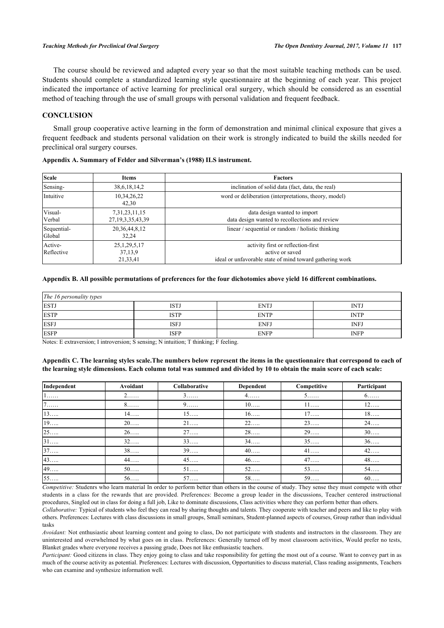The course should be reviewed and adapted every year so that the most suitable teaching methods can be used. Students should complete a standardized learning style questionnaire at the beginning of each year. This project indicated the importance of active learning for preclinical oral surgery, which should be considered as an essential method of teaching through the use of small groups with personal validation and frequent feedback.

#### **CONCLUSION**

Small group cooperative active learning in the form of demonstration and minimal clinical exposure that gives a frequent feedback and students personal validation on their work is strongly indicated to build the skills needed for preclinical oral surgery courses.

|  |  | Appendix A. Summary of Felder and Silverman's (1988) ILS instrument. |
|--|--|----------------------------------------------------------------------|
|  |  |                                                                      |

| <b>Scale</b>          | Items                                      | <b>Factors</b>                                                                                                    |  |  |  |
|-----------------------|--------------------------------------------|-------------------------------------------------------------------------------------------------------------------|--|--|--|
| Sensing-              | 38, 6, 18, 14, 2                           | inclination of solid data (fact, data, the real)                                                                  |  |  |  |
| Intuitive             | 10,34,26,22<br>42,30                       | word or deliberation (interpretations, theory, model)                                                             |  |  |  |
| Visual-<br>Verbal     | 7, 31, 23, 11, 15<br>27, 19, 3, 35, 43, 39 | data design wanted to import<br>data design wanted to recollections and review                                    |  |  |  |
| Sequential-<br>Global | 20, 36, 44, 8, 12<br>32.24                 | linear / sequential or random / holistic thinking                                                                 |  |  |  |
| Active-<br>Reflective | 25, 1, 29, 5, 17<br>37,13,9<br>21,33,41    | activity first or reflection-first<br>active or saved<br>ideal or unfavorable state of mind toward gathering work |  |  |  |

#### **Appendix B. All possible permutations of preferences for the four dichotomies above yield 16 different combinations.**

| The 16 personality types |             |             |             |  |  |  |
|--------------------------|-------------|-------------|-------------|--|--|--|
| <b>ESTJ</b>              | ISTJ        | <b>ENTJ</b> | <b>INTJ</b> |  |  |  |
| <b>ESTP</b>              | ISTP        | <b>ENTP</b> | <b>INTP</b> |  |  |  |
| <b>ESFJ</b>              | ISFJ        | <b>ENFJ</b> | <b>INFJ</b> |  |  |  |
| <b>ESFP</b>              | <b>ISFP</b> | <b>ENFP</b> | <b>INFP</b> |  |  |  |

Notes: E extraversion; I introversion; S sensing; N intuition; T thinking; F feeling.

# **Appendix C. The learning styles scale.The numbers below represent the items in the questionnaire that correspond to each of the learning style dimensions. Each column total was summed and divided by 10 to obtain the main score of each scale:**

| Independent | Avoidant | Collaborative | Dependent | Competitive | Participant |
|-------------|----------|---------------|-----------|-------------|-------------|
| $1$         | $2$      | $3$           | $4$       | $5 \ldots$  | $6. \ldots$ |
| $7 \ldots$  | 8.       | $9. \ldots$   | $10$      | $11$        | $12$        |
| 13          | $14$     | 15            | $16$      | 17          | $18$        |
| 19          | $20$     | $21$          | $22$      | $23$        | $24$        |
| 25          | $26$     | 27            | 28        | 29          | $30$        |
| 31          | $32$     | 33            | $34$      | 35          | $36$        |
| 37          | 38       | 39            | $40$      | $41$        | $42$        |
| 43          | $44$     | $45$          | $46$      | 47          | 48          |
| 49          | $50$     | $51$          | $52$      | 53          | $54$        |
| 55          | 56       | 57            | 58        | 59          | $60$        |

*Competitive:* Studenrs who learn material In order to perform better than others in the course of study. They sense they must compete with other students in a class for the rewards that are provided. Preferences: Become a group leader in the discussions, Teacher centered instructional procedures, Singled out in class for doing a full job, Like to dominate discussions, Class activities where they can perform better than others.

*Collaborative:* Typical of students who feel they can read by sharing thoughts and talents. They cooperate with teacher and peers and like to play with others. Preferences: Lectures with class discussions in small groups, Small seminars, Student-planned aspects of courses, Group rather than individual tasks

*Avoidant:* Not enthusiastic about learning content and going to class, Do not participate with students and instructors in the classroom. They are uninterested and overwhelmed by what goes on in class. Preferences: Generally turned off by most classroom activities, Would prefer no tests, Blanket grades where everyone receives a passing grade, Does not like enthusiastic teachers.

*Participant:* Good citizens in class. They enjoy going to class and take responsibility for getting the most out of a course. Want to convey part in as much of the course activity as potential. Preferences: Lectures with discussion, Opportunities to discuss material, Class reading assignments, Teachers who can examine and synthesize information well.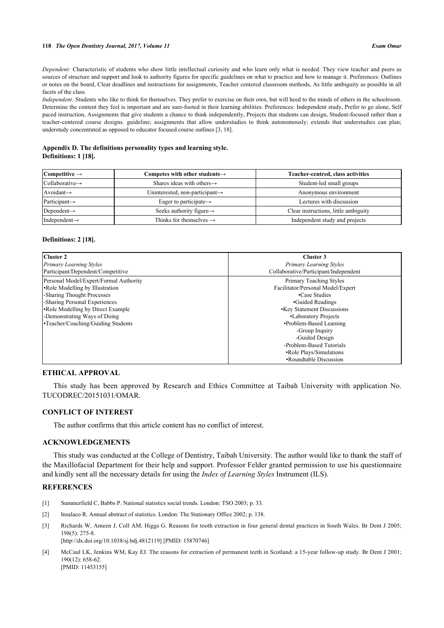#### **118** *The Open Dentistry Journal, 2017, Volume 11 Esam Omar*

*Dependent:* Characteristic of students who show little intellectual curiosity and who learn only what is needed. They view teacher and peers as sources of structure and support and look to authority figures for specific guidelines on what to practice and how to manage it. Preferences: Outlines or notes on the board, Clear deadlines and instructions for assignments, Teacher centered classroom methods, As little ambiguity as possible in all facets of the class.

*Independent:* Students who like to think for themselves. They prefer to exercise on their own, but will heed to the minds of others in the schoolroom. Determine the content they feel is important and are sure-footed in their learning abilities. Preferences: Independent study, Prefer to go alone, Self paced instruction, Assignments that give students a chance to think independently, Projects that students can design, Student-focused rather than a teacher-centered course designs. guideline; assignments that allow understudies to think autonomously; extends that understudies can plan; understudy concentrated as opposed to educator focused course outlines [[3,](#page-9-2) [18\]](#page-10-12).

#### **Appendix D. The definitions personality types and learning style. Definitions: 1 [[18\]](#page-10-12).**

| Competitive $\rightarrow$   | Competes with other students $\rightarrow$  | Teacher-centred, class activities    |
|-----------------------------|---------------------------------------------|--------------------------------------|
| $Collaborative \rightarrow$ | Shares ideas with others $\rightarrow$      | Student-led small groups             |
| Avoidant $\rightarrow$      | Uninterested, non-participant $\rightarrow$ | Anonymous environment                |
| Participant $\rightarrow$   | Eager to participate $\rightarrow$          | Lectures with discussion             |
| Dependent $\rightarrow$     | Seeks authority figure $\rightarrow$        | Clear instructions, little ambiguity |
| Independent $\rightarrow$   | Thinks for themselves $\rightarrow$         | Independent study and projects       |

#### **Definitions: 2 [[18\]](#page-10-12).**

| Cluster 2                                                                                                                                                                                                                                            | Cluster 3                                                                                                                                                                                                                                                                                                      |
|------------------------------------------------------------------------------------------------------------------------------------------------------------------------------------------------------------------------------------------------------|----------------------------------------------------------------------------------------------------------------------------------------------------------------------------------------------------------------------------------------------------------------------------------------------------------------|
| <b>Primary Learning Styles</b>                                                                                                                                                                                                                       | <b>Primary Learning Styles</b>                                                                                                                                                                                                                                                                                 |
| Participant/Dependent/Competitive                                                                                                                                                                                                                    | Collaborative/Participant/Independent                                                                                                                                                                                                                                                                          |
| Personal Model/Expert/Formal Authority<br>• Role Modelling by Illustration<br>-Sharing Thought Processes<br>-Sharing Personal Experiences<br>•Role Modelling by Direct Example<br>-Demonstrating Ways of Doing<br>•Teacher/Coaching/Guiding Students | Primary Teaching Styles<br>Facilitator/Personal Model/Expert<br>•Case Studies<br>•Guided Readings<br><b>•Key Statement Discussions</b><br>•Laboratory Projects<br>•Problem-Based Learning<br>-Group Inquiry<br>-Guided Design<br>-Problem-Based Tutorials<br>•Role Plays/Simulations<br>•Roundtable Discussion |

# **ETHICAL APPROVAL**

This study has been approved by Research and Ethics Committee at Taibah University with application No. TUCODREC/20151031/OMAR.

# **CONFLICT OF INTEREST**

The author confirms that this article content has no conflict of interest.

# **ACKNOWLEDGEMENTS**

This study was conducted at the College of Dentistry, Taibah University. The author would like to thank the staff of the Maxillofacial Department for their help and support. Professor Felder granted permission to use his questionnaire and kindly sent all the necessary details for using the *Index of Learning Styles* Instrument (ILS).

# **REFERENCES**

- <span id="page-9-0"></span>[1] Summerfield C, Babbs P. National statistics social trends. London: TSO 2003; p. 33.
- <span id="page-9-1"></span>[2] Insalaco R. Annual abstract of statistics. London: The Stationary Office 2002; p. 138.
- <span id="page-9-2"></span>[3] Richards W, Ameen J, Coll AM, Higgs G. Reasons for tooth extraction in four general dental practices in South Wales. Br Dent J 2005; 198(5): 275-8. [\[http://dx.doi.org/10.1038/sj.bdj.4812119](http://dx.doi.org/10.1038/sj.bdj.4812119)] [PMID: [15870746\]](http://www.ncbi.nlm.nih.gov/pubmed/15870746)
- <span id="page-9-3"></span>[4] McCaul LK, Jenkins WM, Kay EJ. The reasons for extraction of permanent teeth in Scotland: a 15-year follow-up study. Br Dent J 2001; 190(12): 658-62. [PMID: [11453155\]](http://www.ncbi.nlm.nih.gov/pubmed/11453155)